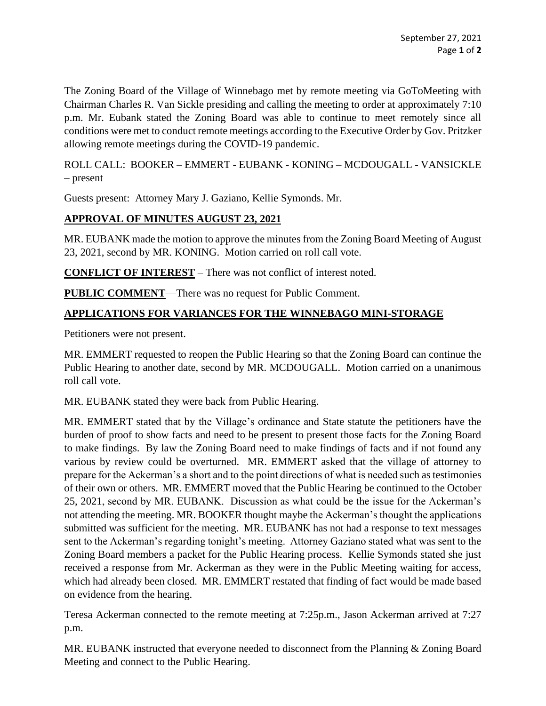The Zoning Board of the Village of Winnebago met by remote meeting via GoToMeeting with Chairman Charles R. Van Sickle presiding and calling the meeting to order at approximately 7:10 p.m. Mr. Eubank stated the Zoning Board was able to continue to meet remotely since all conditions were met to conduct remote meetings according to the Executive Order by Gov. Pritzker allowing remote meetings during the COVID-19 pandemic.

ROLL CALL: BOOKER – EMMERT - EUBANK - KONING – MCDOUGALL - VANSICKLE – present

Guests present: Attorney Mary J. Gaziano, Kellie Symonds. Mr.

## **APPROVAL OF MINUTES AUGUST 23, 2021**

MR. EUBANK made the motion to approve the minutes from the Zoning Board Meeting of August 23, 2021, second by MR. KONING. Motion carried on roll call vote.

**CONFLICT OF INTEREST** – There was not conflict of interest noted.

**PUBLIC COMMENT**—There was no request for Public Comment.

## **APPLICATIONS FOR VARIANCES FOR THE WINNEBAGO MINI-STORAGE**

Petitioners were not present.

MR. EMMERT requested to reopen the Public Hearing so that the Zoning Board can continue the Public Hearing to another date, second by MR. MCDOUGALL. Motion carried on a unanimous roll call vote.

MR. EUBANK stated they were back from Public Hearing.

MR. EMMERT stated that by the Village's ordinance and State statute the petitioners have the burden of proof to show facts and need to be present to present those facts for the Zoning Board to make findings. By law the Zoning Board need to make findings of facts and if not found any various by review could be overturned. MR. EMMERT asked that the village of attorney to prepare for the Ackerman's a short and to the point directions of what is needed such as testimonies of their own or others. MR. EMMERT moved that the Public Hearing be continued to the October 25, 2021, second by MR. EUBANK. Discussion as what could be the issue for the Ackerman's not attending the meeting. MR. BOOKER thought maybe the Ackerman's thought the applications submitted was sufficient for the meeting. MR. EUBANK has not had a response to text messages sent to the Ackerman's regarding tonight's meeting. Attorney Gaziano stated what was sent to the Zoning Board members a packet for the Public Hearing process. Kellie Symonds stated she just received a response from Mr. Ackerman as they were in the Public Meeting waiting for access, which had already been closed. MR. EMMERT restated that finding of fact would be made based on evidence from the hearing.

Teresa Ackerman connected to the remote meeting at 7:25p.m., Jason Ackerman arrived at 7:27 p.m.

MR. EUBANK instructed that everyone needed to disconnect from the Planning & Zoning Board Meeting and connect to the Public Hearing.